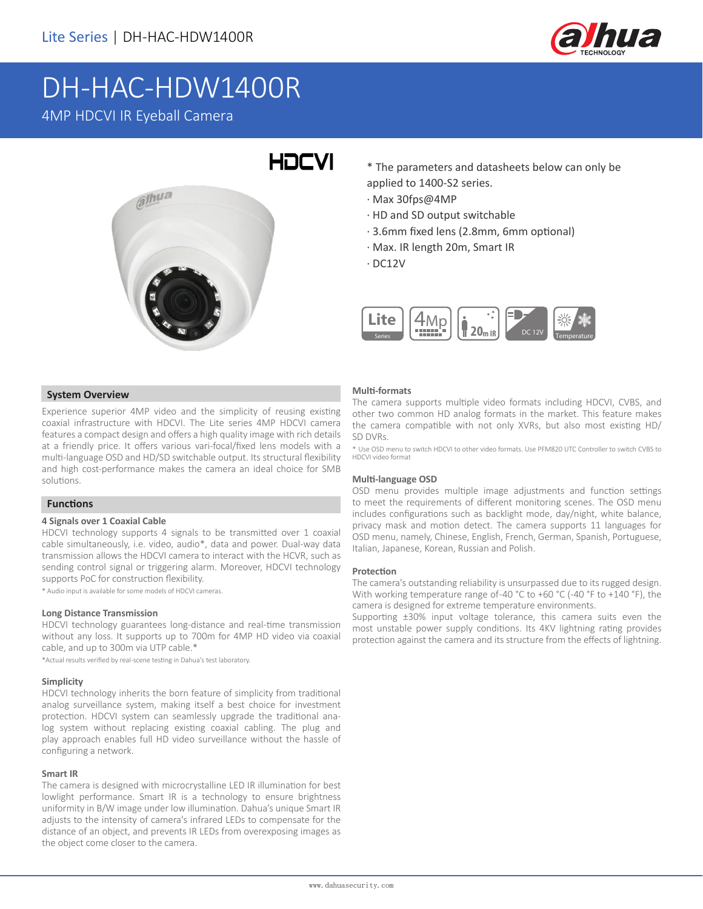

# DH-HAC-HDW1400R 4MP HDCVI IR Eyeball Camera



- \* The parameters and datasheets below can only be applied to 1400-S2 series.
- · Max 30fps@4MP
- · HD and SD output switchable
- · 3.6mm fixed lens (2.8mm, 6mm optional)
- · Max. IR length 20m, Smart IR
- · DC12V



## **System Overview**

Experience superior 4MP video and the simplicity of reusing existing coaxial infrastructure with HDCVI. The Lite series 4MP HDCVI camera features a compact design and offers a high quality image with rich details at a friendly price. It offers various vari-focal/fixed lens models with a multi-language OSD and HD/SD switchable output. Its structural flexibility and high cost-performance makes the camera an ideal choice for SMB solutions.

## **Functions**

#### **4 Signals over 1 Coaxial Cable**

HDCVI technology supports 4 signals to be transmitted over 1 coaxial cable simultaneously, i.e. video, audio\*, data and power. Dual-way data transmission allows the HDCVI camera to interact with the HCVR, such as sending control signal or triggering alarm. Moreover, HDCVI technology supports PoC for construction flexibility.

\* Audio input is available for some models of HDCVI cameras.

#### **Long Distance Transmission**

HDCVI technology guarantees long-distance and real-time transmission without any loss. It supports up to 700m for 4MP HD video via coaxial cable, and up to 300m via UTP cable.\*

\*Actual results verified by real-scene testing in Dahua's test laboratory.

#### **Simplicity**

HDCVI technology inherits the born feature of simplicity from traditional analog surveillance system, making itself a best choice for investment protection. HDCVI system can seamlessly upgrade the traditional analog system without replacing existing coaxial cabling. The plug and play approach enables full HD video surveillance without the hassle of configuring a network.

#### **Smart IR**

The camera is designed with microcrystalline LED IR illumination for best lowlight performance. Smart IR is a technology to ensure brightness uniformity in B/W image under low illumination. Dahua's unique Smart IR adjusts to the intensity of camera's infrared LEDs to compensate for the distance of an object, and prevents IR LEDs from overexposing images as the object come closer to the camera.

#### **Multi-formats**

The camera supports multiple video formats including HDCVI, CVBS, and other two common HD analog formats in the market. This feature makes the camera compatible with not only XVRs, but also most existing HD/ SD DVRs.

\* Use OSD menu to switch HDCVI to other video formats. Use PFM820 UTC Controller to switch CVBS to HDCVI video format

#### **Multi-language OSD**

OSD menu provides multiple image adjustments and function settings to meet the requirements of different monitoring scenes. The OSD menu includes configurations such as backlight mode, day/night, white balance, privacy mask and motion detect. The camera supports 11 languages for OSD menu, namely, Chinese, English, French, German, Spanish, Portuguese, Italian, Japanese, Korean, Russian and Polish.

#### **Protection**

The camera's outstanding reliability is unsurpassed due to its rugged design. With working temperature range of -40 °C to +60 °C (-40 °F to +140 °F), the camera is designed for extreme temperature environments.

Supporting ±30% input voltage tolerance, this camera suits even the most unstable power supply conditions. Its 4KV lightning rating provides protection against the camera and its structure from the effects of lightning.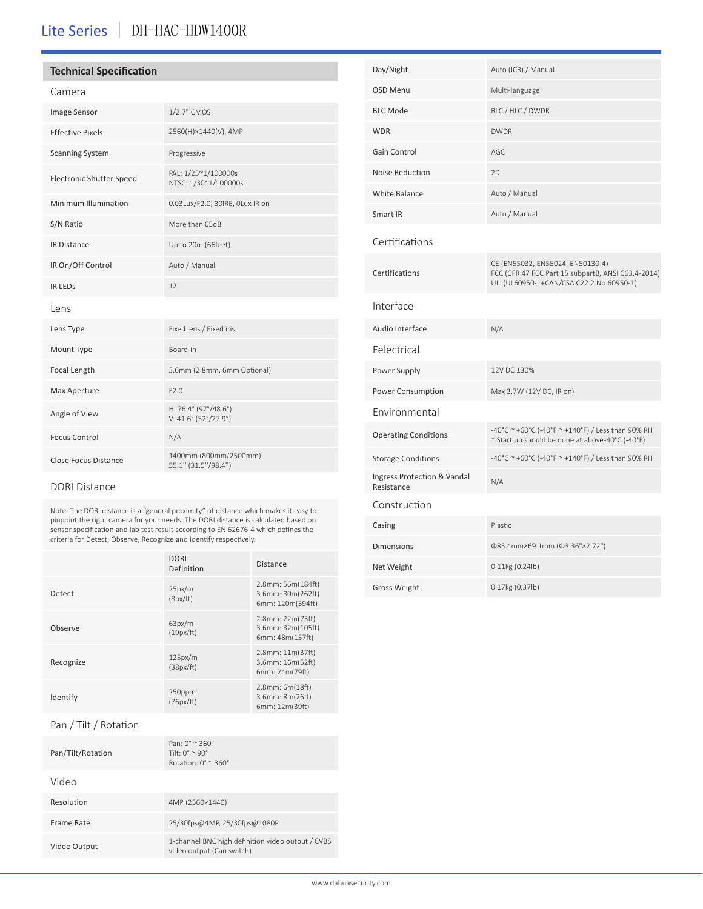## Lite Series | DH-HAC-HDW1400R

## **Technical Specification**

## Camera

| <b>Image Sensor</b>             | 1/2.7" CMOS                                  |  |  |
|---------------------------------|----------------------------------------------|--|--|
| <b>Effective Pixels</b>         | 2560(H)×1440(V), 4MP                         |  |  |
| <b>Scanning System</b>          | Progressive                                  |  |  |
| <b>Electronic Shutter Speed</b> | PAL: 1/25~1/100000s<br>NTSC: 1/30~1/100000s  |  |  |
| Minimum Illumination            | 0.03Lux/F2.0, 30IRE, OLux IR on              |  |  |
| S/N Ratio                       | More than 65dB                               |  |  |
| <b>IR Distance</b>              | Up to 20m (66feet)                           |  |  |
| IR On/Off Control               | Auto / Manual                                |  |  |
| <b>IR LEDS</b>                  | 12                                           |  |  |
| Lens                            |                                              |  |  |
| Lens Type                       | Fixed lens / Fixed iris                      |  |  |
| Mount Type                      | Board-in                                     |  |  |
| Focal Length                    | 3.6mm (2.8mm, 6mm Optional)                  |  |  |
| Max Aperture                    | F2.0                                         |  |  |
| Angle of View                   | H: 76.4° (97°/48.6°)<br>V: 41.6° (52°/27.9°) |  |  |
| <b>Focus Control</b>            | N/A                                          |  |  |
| <b>Close Focus Distance</b>     | 1400mm (800mm/2500mm)<br>55.1" (31.5"/98.4") |  |  |

## DORI Distance

Note: The DORI distance is a "general proximity" of distance which makes it easy to pinpoint the right camera for your needs. The DORI distance is calculated based on sensor specification and lab test result according to EN 62676-4 which defines the criteria for Detect, Observe, Recognize and Identify respectively.

|           | <b>DORI</b><br>Definition | <b>Distance</b>                                            |  |
|-----------|---------------------------|------------------------------------------------------------|--|
| Detect    | 25px/m<br>(8px/ft)        | 2.8mm: 56m(184ft)<br>3.6mm: 80m(262ft)<br>6mm: 120m(394ft) |  |
| Observe   | 63px/m<br>(19px/ft)       | 2.8mm: 22m(73ft)<br>3.6mm: 32m(105ft)<br>6mm: 48m(157ft)   |  |
| Recognize | 125px/m<br>(38px/ft)      | 2.8mm: 11m(37ft)<br>3.6mm: 16m(52ft)<br>6mm: 24m(79ft)     |  |
| Identify  | 250ppm<br>(76px/ft)       | 2.8mm: 6m(18ft)<br>3.6mm: 8m(26ft)<br>6mm: 12m(39ft)       |  |

## Pan / Tilt / Rotation

| Pan/Tilt/Rotation | Pan: $0^\circ \approx 360^\circ$<br>Tilt: $0^{\circ} \approx 90^{\circ}$<br>Rotation: $0^\circ \approx 360^\circ$ |
|-------------------|-------------------------------------------------------------------------------------------------------------------|
| Video             |                                                                                                                   |
| Resolution        | 4MP (2560×1440)                                                                                                   |
| Frame Rate        | 25/30fps@4MP, 25/30fps@1080P                                                                                      |
| Video Output      | 1-channel BNC high definition video output / CVBS<br>video output (Can switch)                                    |

| Day/Night                                 | Auto (ICR) / Manual                                                                                                               |
|-------------------------------------------|-----------------------------------------------------------------------------------------------------------------------------------|
| <b>OSD Menu</b>                           | Multi-language                                                                                                                    |
| <b>BLC Mode</b>                           | BLC / HLC / DWDR                                                                                                                  |
| <b>WDR</b>                                | <b>DWDR</b>                                                                                                                       |
| Gain Control                              | AGC                                                                                                                               |
| <b>Noise Reduction</b>                    | 2D                                                                                                                                |
| <b>White Balance</b>                      | Auto / Manual                                                                                                                     |
| Smart IR                                  | Auto / Manual                                                                                                                     |
| Certifications                            |                                                                                                                                   |
| Certifications                            | CE (EN55032, EN55024, EN50130-4)<br>FCC (CFR 47 FCC Part 15 subpartB, ANSI C63.4-2014)<br>UL (UL60950-1+CAN/CSA C22.2 No.60950-1) |
| Interface                                 |                                                                                                                                   |
| Audio Interface                           | N/A                                                                                                                               |
| Eelectrical                               |                                                                                                                                   |
| Power Supply                              | 12V DC +30%                                                                                                                       |
| Power Consumption                         | Max 3.7W (12V DC, IR on)                                                                                                          |
| Environmental                             |                                                                                                                                   |
| <b>Operating Conditions</b>               | -40°C ~ +60°C (-40°F ~ +140°F) / Less than 90% RH<br>* Start up should be done at above-40°C (-40°F)                              |
| <b>Storage Conditions</b>                 | -40°C ~ +60°C (-40°F ~ +140°F) / Less than 90% RH                                                                                 |
| Ingress Protection & Vandal<br>Resistance | N/A                                                                                                                               |
| Construction                              |                                                                                                                                   |
| Casing                                    | Plastic                                                                                                                           |
| <b>Dimensions</b>                         | Φ85.4mm×69.1mm (Φ3.36"×2.72")                                                                                                     |
| Net Weight                                | $0.11$ kg (0.24lb)                                                                                                                |
| <b>Gross Weight</b>                       | 0.17kg (0.37lb)                                                                                                                   |